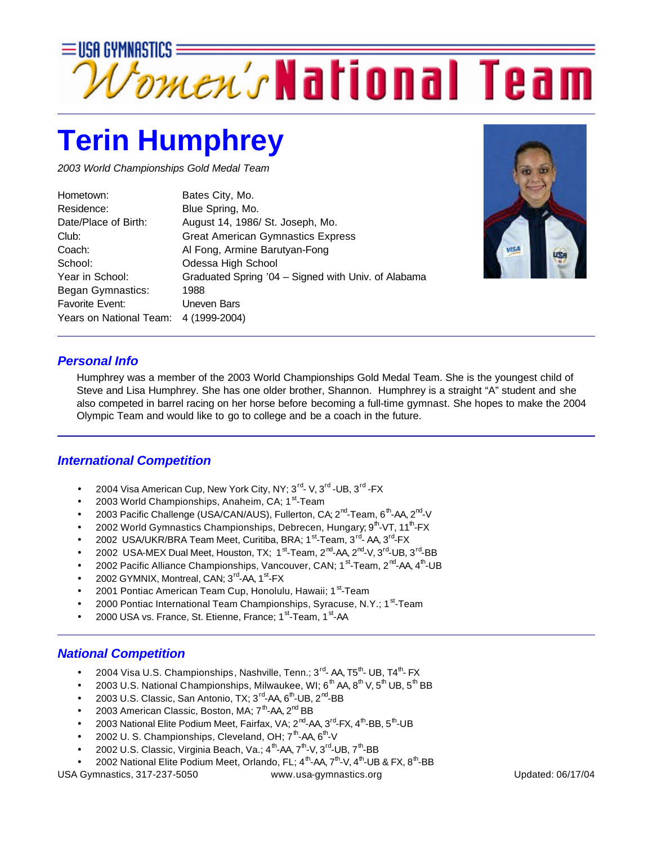

## **Terin Humphrey**

*2003 World Championships Gold Medal Team*

| Hometown:               | Bates City, Mo.                                     |
|-------------------------|-----------------------------------------------------|
| Residence:              | Blue Spring, Mo.                                    |
| Date/Place of Birth:    | August 14, 1986/ St. Joseph, Mo.                    |
| Club:                   | <b>Great American Gymnastics Express</b>            |
| Coach:                  | Al Fong, Armine Barutyan-Fong                       |
| School:                 | Odessa High School                                  |
| Year in School:         | Graduated Spring '04 - Signed with Univ. of Alabama |
| Began Gymnastics:       | 1988                                                |
| <b>Favorite Event:</b>  | Uneven Bars                                         |
| Years on National Team: | 4 (1999-2004)                                       |
|                         |                                                     |



## *Personal Info*

Humphrey was a member of the 2003 World Championships Gold Medal Team. She is the youngest child of Steve and Lisa Humphrey. She has one older brother, Shannon. Humphrey is a straight "A" student and she also competed in barrel racing on her horse before becoming a full-time gymnast. She hopes to make the 2004 Olympic Team and would like to go to college and be a coach in the future.

## *International Competition*

- 2004 Visa American Cup, New York City, NY; 3<sup>rd</sup>-V, 3<sup>rd</sup>-UB, 3<sup>rd</sup>-FX
- 2003 World Championships, Anaheim, CA; 1<sup>st</sup>-Team
- 2003 Pacific Challenge (USA/CAN/AUS), Fullerton, CA; 2<sup>nd</sup>-Team, 6<sup>th</sup>-AA, 2<sup>nd</sup>-V
- 2002 World Gymnastics Championships, Debrecen, Hungary; 9<sup>th</sup>-VT, 11<sup>th</sup>-FX
- 2002 USA/UKR/BRA Team Meet, Curitiba, BRA; 1<sup>st</sup>-Team, 3<sup>rd</sup>-AA, 3<sup>rd</sup>-FX
- 2002 USA-MEX Dual Meet, Houston, TX; 1<sup>st</sup>-Team, 2<sup>nd</sup>-AA, 2<sup>nd</sup>-V, 3<sup>rd</sup>-UB, 3<sup>rd</sup>-BB
- 2002 Pacific Alliance Championships, Vancouver, CAN; 1<sup>st</sup>-Team, 2<sup>nd</sup>-AA, 4<sup>th</sup>-UB
- 2002 GYMNIX, Montreal, CAN; 3<sup>rd</sup>-AA, 1<sup>st</sup>-FX
- 2001 Pontiac American Team Cup, Honolulu, Hawaii; 1<sup>st</sup>-Team
- 2000 Pontiac International Team Championships, Syracuse, N.Y.; 1<sup>st</sup>-Team
- 2000 USA vs. France, St. Etienne, France; 1<sup>st</sup>-Team, 1<sup>st</sup>-AA

## *National Competition*

- 2004 Visa U.S. Championships, Nashville, Tenn.; 3 $^{\text{rd}}$  AA, T5 $^{\text{th}}$  UB, T4 $^{\text{th}}$  FX
- 2003 U.S. National Championships, Milwaukee, WI;  $6<sup>th</sup> AA$ ,  $8<sup>th</sup> V$ ,  $5<sup>th</sup> UB$ ,  $5<sup>th</sup> BB$
- 2003 U.S. Classic, San Antonio, TX; 3<sup>rd</sup>-AA, 6<sup>th</sup>-UB, 2<sup>nd</sup>-BB
- 2003 American Classic, Boston, MA; 7<sup>th</sup>-AA, 2<sup>nd</sup> BB
- 2003 National Elite Podium Meet, Fairfax, VA; 2<sup>nd</sup>-AA, 3<sup>rd</sup>-FX, 4<sup>th</sup>-BB, 5<sup>th</sup>-UB
- 2002 U.S. Championships, Cleveland, OH;  $7<sup>th</sup>$ -AA,  $6<sup>th</sup>$ -V
- $\bullet$  2002 U.S. Classic, Virginia Beach, Va.; 4<sup>th</sup>-AA, 7<sup>th</sup>-V, 3<sup>rd</sup>-UB, 7<sup>th</sup>-BB
- 2002 National Elite Podium Meet, Orlando, FL;  $4^{\text{th}}$ -AA,  $7^{\text{th}}$ -V,  $4^{\text{th}}$ -UB & FX,  $8^{\text{th}}$ -BB

USA Gymnastics, 317-237-5050 www.usa-gymnastics.org Updated: 06/17/04